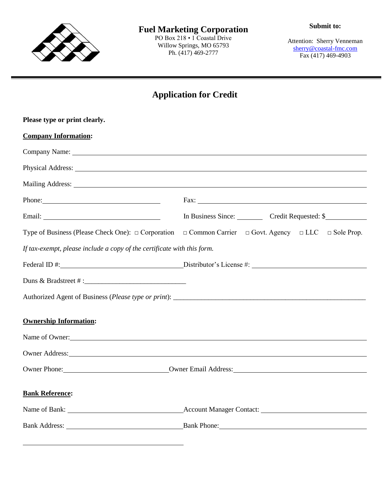

PO Box 218 • 1 Coastal Drive Willow Springs, MO 65793 Ph. (417) 469-2777

Attention: Sherry Venneman [sherry@coastal-fmc.com](mailto:sherry@coastal-fmc.com) Fax (417) 469-4903

## **Application for Credit**

| Please type or print clearly.                                                                                                                                                                                                  |                                                                                                                                                                                                                                |  |  |  |
|--------------------------------------------------------------------------------------------------------------------------------------------------------------------------------------------------------------------------------|--------------------------------------------------------------------------------------------------------------------------------------------------------------------------------------------------------------------------------|--|--|--|
| <b>Company Information:</b>                                                                                                                                                                                                    |                                                                                                                                                                                                                                |  |  |  |
|                                                                                                                                                                                                                                |                                                                                                                                                                                                                                |  |  |  |
|                                                                                                                                                                                                                                | Physical Address: No. 2016. The Contract of the Contract of the Contract of the Contract of the Contract of the Contract of the Contract of the Contract of the Contract of the Contract of the Contract of the Contract of th |  |  |  |
|                                                                                                                                                                                                                                | Mailing Address: 1988 and 2008 and 2008 and 2008 and 2008 and 2008 and 2008 and 2008 and 2008 and 2008 and 200                                                                                                                 |  |  |  |
| Phone:                                                                                                                                                                                                                         |                                                                                                                                                                                                                                |  |  |  |
|                                                                                                                                                                                                                                | In Business Since: Credit Requested: \$                                                                                                                                                                                        |  |  |  |
|                                                                                                                                                                                                                                | Type of Business (Please Check One): $\Box$ Corporation $\Box$ Common Carrier $\Box$ Govt. Agency $\Box$ LLC $\Box$ Sole Prop.                                                                                                 |  |  |  |
| If tax-exempt, please include a copy of the certificate with this form.                                                                                                                                                        |                                                                                                                                                                                                                                |  |  |  |
|                                                                                                                                                                                                                                |                                                                                                                                                                                                                                |  |  |  |
|                                                                                                                                                                                                                                |                                                                                                                                                                                                                                |  |  |  |
|                                                                                                                                                                                                                                |                                                                                                                                                                                                                                |  |  |  |
| <b>Ownership Information:</b>                                                                                                                                                                                                  |                                                                                                                                                                                                                                |  |  |  |
| Name of Owner:                                                                                                                                                                                                                 |                                                                                                                                                                                                                                |  |  |  |
| Owner Address: No. 2016. The Commission of the Commission of the Commission of the Commission of the Commission of the Commission of the Commission of the Commission of the Commission of the Commission of the Commission of |                                                                                                                                                                                                                                |  |  |  |
|                                                                                                                                                                                                                                | Owner Phone: <u>Owner Email Address:</u>                                                                                                                                                                                       |  |  |  |
|                                                                                                                                                                                                                                |                                                                                                                                                                                                                                |  |  |  |
| <b>Bank Reference:</b>                                                                                                                                                                                                         |                                                                                                                                                                                                                                |  |  |  |
|                                                                                                                                                                                                                                |                                                                                                                                                                                                                                |  |  |  |
|                                                                                                                                                                                                                                | Bank Address: Bank Phone:                                                                                                                                                                                                      |  |  |  |
|                                                                                                                                                                                                                                |                                                                                                                                                                                                                                |  |  |  |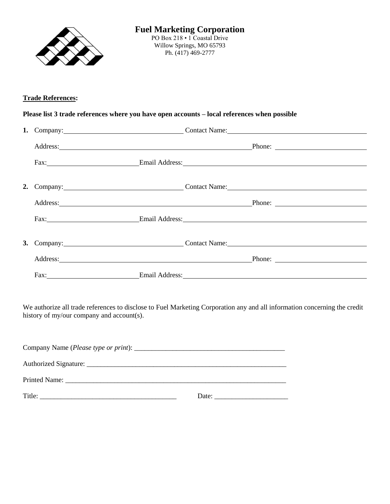

## **Trade References:**

## **Please list 3 trade references where you have open accounts – local references when possible**

|  |                                    | 1. Company: Contact Name: Contact Name:                                                                                                                                                                                        |
|--|------------------------------------|--------------------------------------------------------------------------------------------------------------------------------------------------------------------------------------------------------------------------------|
|  |                                    | Address: Phone: Phone: Phone: Phone: Phone: Phone: Phone: Phone: Phone: 2014                                                                                                                                                   |
|  |                                    | Fax: Email Address: Email Address:                                                                                                                                                                                             |
|  |                                    | 2. Company: Contact Name: Contact Name:                                                                                                                                                                                        |
|  |                                    | Address: Phone: Phone: Phone: Phone: Phone: Phone: Phone: Phone: Phone: Phone: Phone: Phone: Phone: Phone: Phone: Phone: Phone: Phone: Phone: Phone: Phone: Phone: Phone: Phone: Phone: Phone: Phone: Phone: Phone: Phone: Pho |
|  | Fax: Email Address: Email Address: |                                                                                                                                                                                                                                |
|  |                                    | 3. Company: Contact Name: Contact Name:                                                                                                                                                                                        |
|  |                                    | Phone: $\qquad \qquad$                                                                                                                                                                                                         |
|  | Fax: Email Address: Email Address: |                                                                                                                                                                                                                                |

We authorize all trade references to disclose to Fuel Marketing Corporation any and all information concerning the credit history of my/our company and account(s).

| Printed Name: The contract of the contract of the contract of the contract of the contract of the contract of the contract of the contract of the contract of the contract of the contract of the contract of the contract of |       |  |  |  |
|-------------------------------------------------------------------------------------------------------------------------------------------------------------------------------------------------------------------------------|-------|--|--|--|
| Title:                                                                                                                                                                                                                        | Date: |  |  |  |